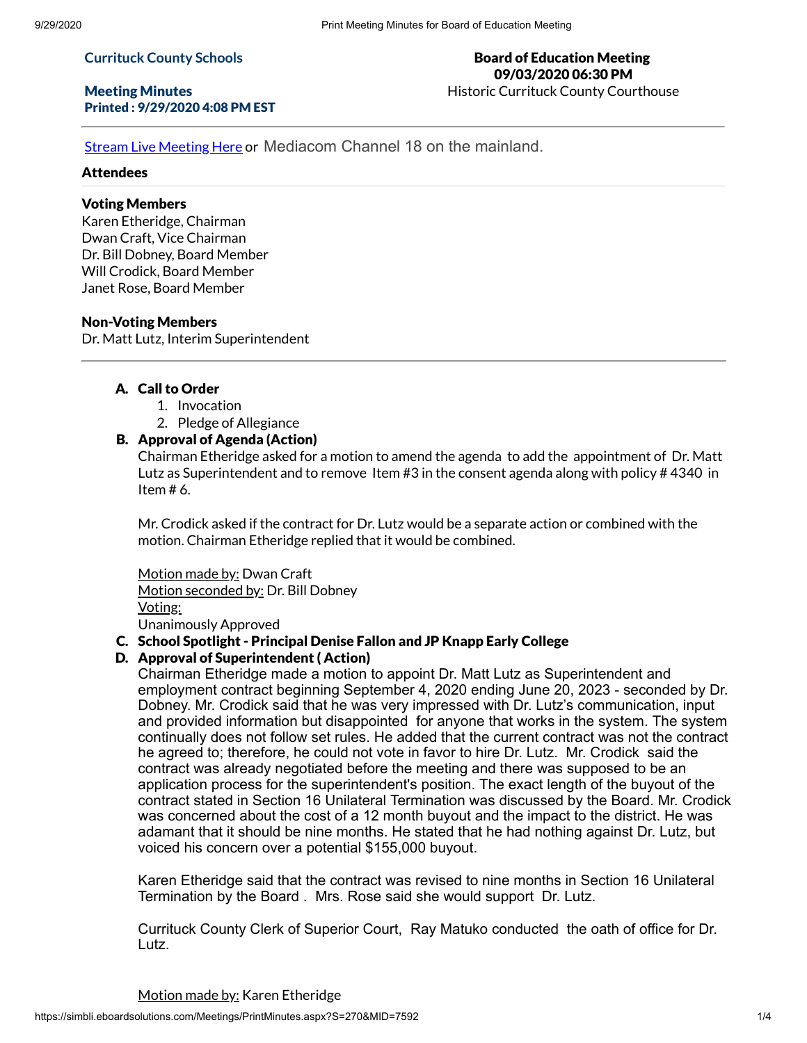#### **Currituck County Schools**

#### Meeting Minutes Printed : 9/29/2020 4:08 PM EST

#### Board of Education Meeting 09/03/2020 06:30 PM Historic Currituck County Courthouse

Stream Live [Meeting](http://currituckcountync.iqm2.com/Citizens/default.aspx) Here or Mediacom Channel 18 on the mainland.

## **Attendees**

# Voting Members

Karen Etheridge, Chairman Dwan Craft, Vice Chairman Dr. Bill Dobney, Board Member Will Crodick, Board Member Janet Rose, Board Member

# Non-Voting Members

Dr. Matt Lutz, Interim Superintendent

# A. Call to Order

- 1. Invocation
- 2. Pledge of Allegiance

# B. Approval of Agenda (Action)

Chairman Etheridge asked for a motion to amend the agenda to add the appointment of Dr. Matt Lutz as Superintendent and to remove Item #3 in the consent agenda along with policy # 4340 in Item # 6.

Mr. Crodick asked if the contract for Dr. Lutz would be a separate action or combined with the motion. Chairman Etheridge replied that it would be combined.

Motion made by: Dwan Craft Motion seconded by: Dr. Bill Dobney Voting: Unanimously Approved

# C. School Spotlight - Principal Denise Fallon and JP Knapp Early College

# D. Approval of Superintendent ( Action)

Chairman Etheridge made a motion to appoint Dr. Matt Lutz as Superintendent and employment contract beginning September 4, 2020 ending June 20, 2023 - seconded by Dr. Dobney. Mr. Crodick said that he was very impressed with Dr. Lutz's communication, input and provided information but disappointed for anyone that works in the system. The system continually does not follow set rules. He added that the current contract was not the contract he agreed to; therefore, he could not vote in favor to hire Dr. Lutz. Mr. Crodick said the contract was already negotiated before the meeting and there was supposed to be an application process for the superintendent's position. The exact length of the buyout of the contract stated in Section 16 Unilateral Termination was discussed by the Board. Mr. Crodick was concerned about the cost of a 12 month buyout and the impact to the district. He was adamant that it should be nine months. He stated that he had nothing against Dr. Lutz, but voiced his concern over a potential \$155,000 buyout.

Karen Etheridge said that the contract was revised to nine months in Section 16 Unilateral Termination by the Board . Mrs. Rose said she would support Dr. Lutz.

Currituck County Clerk of Superior Court, Ray Matuko conducted the oath of office for Dr. Lutz.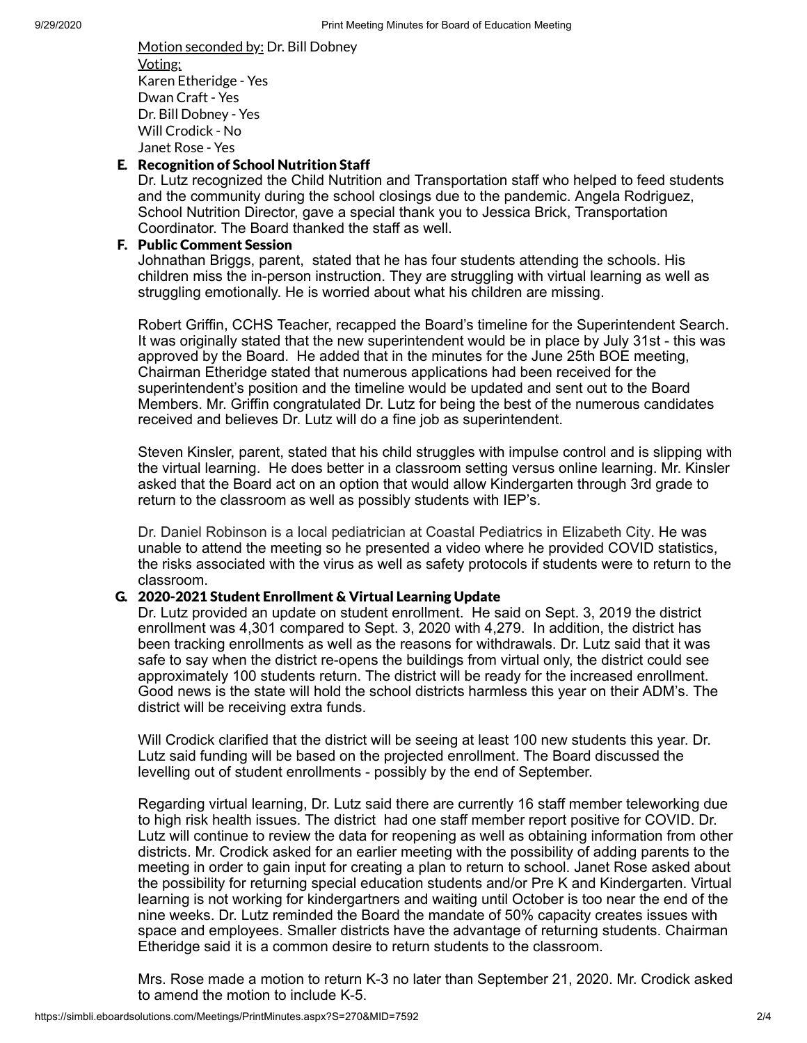Motion seconded by: Dr. Bill Dobney Voting: Karen Etheridge - Yes Dwan Craft - Yes Dr. Bill Dobney - Yes Will Crodick - No Janet Rose - Yes

#### E. Recognition of School Nutrition Staff

Dr. Lutz recognized the Child Nutrition and Transportation staff who helped to feed students and the community during the school closings due to the pandemic. Angela Rodriguez, School Nutrition Director, gave a special thank you to Jessica Brick, Transportation Coordinator. The Board thanked the staff as well.

#### F. Public Comment Session

Johnathan Briggs, parent, stated that he has four students attending the schools. His children miss the in-person instruction. They are struggling with virtual learning as well as struggling emotionally. He is worried about what his children are missing.

Robert Griffin, CCHS Teacher, recapped the Board's timeline for the Superintendent Search. It was originally stated that the new superintendent would be in place by July 31st - this was approved by the Board. He added that in the minutes for the June 25th BOE meeting, Chairman Etheridge stated that numerous applications had been received for the superintendent's position and the timeline would be updated and sent out to the Board Members. Mr. Griffin congratulated Dr. Lutz for being the best of the numerous candidates received and believes Dr. Lutz will do a fine job as superintendent.

Steven Kinsler, parent, stated that his child struggles with impulse control and is slipping with the virtual learning. He does better in a classroom setting versus online learning. Mr. Kinsler asked that the Board act on an option that would allow Kindergarten through 3rd grade to return to the classroom as well as possibly students with IEP's.

Dr. Daniel Robinson is a local pediatrician at Coastal Pediatrics in Elizabeth City. He was unable to attend the meeting so he presented a video where he provided COVID statistics, the risks associated with the virus as well as safety protocols if students were to return to the classroom.

#### G. 2020-2021 Student Enrollment & Virtual Learning Update

Dr. Lutz provided an update on student enrollment. He said on Sept. 3, 2019 the district enrollment was 4,301 compared to Sept. 3, 2020 with 4,279. In addition, the district has been tracking enrollments as well as the reasons for withdrawals. Dr. Lutz said that it was safe to say when the district re-opens the buildings from virtual only, the district could see approximately 100 students return. The district will be ready for the increased enrollment. Good news is the state will hold the school districts harmless this year on their ADM's. The district will be receiving extra funds.

Will Crodick clarified that the district will be seeing at least 100 new students this year. Dr. Lutz said funding will be based on the projected enrollment. The Board discussed the levelling out of student enrollments - possibly by the end of September.

Regarding virtual learning, Dr. Lutz said there are currently 16 staff member teleworking due to high risk health issues. The district had one staff member report positive for COVID. Dr. Lutz will continue to review the data for reopening as well as obtaining information from other districts. Mr. Crodick asked for an earlier meeting with the possibility of adding parents to the meeting in order to gain input for creating a plan to return to school. Janet Rose asked about the possibility for returning special education students and/or Pre K and Kindergarten. Virtual learning is not working for kindergartners and waiting until October is too near the end of the nine weeks. Dr. Lutz reminded the Board the mandate of 50% capacity creates issues with space and employees. Smaller districts have the advantage of returning students. Chairman Etheridge said it is a common desire to return students to the classroom.

Mrs. Rose made a motion to return K-3 no later than September 21, 2020. Mr. Crodick asked to amend the motion to include K-5.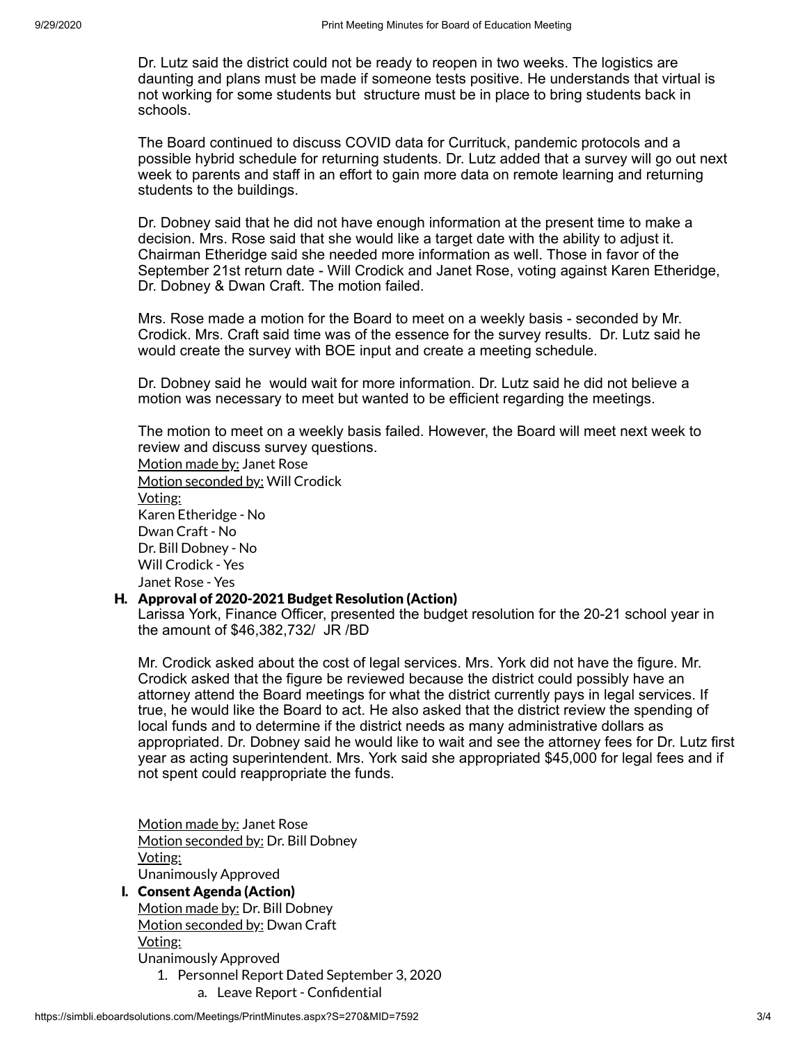Dr. Lutz said the district could not be ready to reopen in two weeks. The logistics are daunting and plans must be made if someone tests positive. He understands that virtual is not working for some students but structure must be in place to bring students back in schools.

The Board continued to discuss COVID data for Currituck, pandemic protocols and a possible hybrid schedule for returning students. Dr. Lutz added that a survey will go out next week to parents and staff in an effort to gain more data on remote learning and returning students to the buildings.

Dr. Dobney said that he did not have enough information at the present time to make a decision. Mrs. Rose said that she would like a target date with the ability to adjust it. Chairman Etheridge said she needed more information as well. Those in favor of the September 21st return date - Will Crodick and Janet Rose, voting against Karen Etheridge, Dr. Dobney & Dwan Craft. The motion failed.

Mrs. Rose made a motion for the Board to meet on a weekly basis - seconded by Mr. Crodick. Mrs. Craft said time was of the essence for the survey results. Dr. Lutz said he would create the survey with BOE input and create a meeting schedule.

Dr. Dobney said he would wait for more information. Dr. Lutz said he did not believe a motion was necessary to meet but wanted to be efficient regarding the meetings.

The motion to meet on a weekly basis failed. However, the Board will meet next week to review and discuss survey questions.

Motion made by: Janet Rose Motion seconded by: Will Crodick Voting: Karen Etheridge - No Dwan Craft - No Dr. Bill Dobney - No Will Crodick - Yes Janet Rose - Yes

## H. Approval of 2020-2021 Budget Resolution (Action)

Larissa York, Finance Officer, presented the budget resolution for the 20-21 school year in the amount of \$46,382,732/ JR /BD

Mr. Crodick asked about the cost of legal services. Mrs. York did not have the figure. Mr. Crodick asked that the figure be reviewed because the district could possibly have an attorney attend the Board meetings for what the district currently pays in legal services. If true, he would like the Board to act. He also asked that the district review the spending of local funds and to determine if the district needs as many administrative dollars as appropriated. Dr. Dobney said he would like to wait and see the attorney fees for Dr. Lutz first year as acting superintendent. Mrs. York said she appropriated \$45,000 for legal fees and if not spent could reappropriate the funds.

Motion made by: Janet Rose Motion seconded by: Dr. Bill Dobney Voting: Unanimously Approved

I. Consent Agenda (Action) Motion made by: Dr. Bill Dobney

Motion seconded by: Dwan Craft

Voting:

Unanimously Approved

1. Personnel Report Dated September 3, 2020

a. Leave Report - Confidential